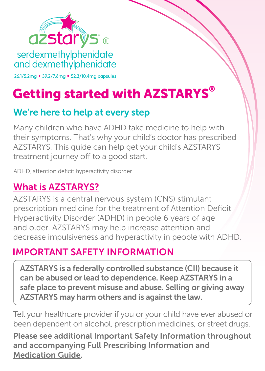

# Getting started with AZSTARYS®

### We're here to help at every step

Many children who have ADHD take medicine to help with their symptoms. That's why your child's doctor has prescribed AZSTARYS. This guide can help get your child's AZSTARYS treatment journey off to a good start.

ADHD, attention deficit hyperactivity disorder.

### What is AZSTARYS?

AZSTARYS is a central nervous system (CNS) stimulant prescription medicine for the treatment of Attention Deficit Hyperactivity Disorder (ADHD) in people 6 years of age and older. AZSTARYS may help increase attention and decrease impulsiveness and hyperactivity in people with ADHD.

### IMPORTANT SAFETY INFORMATION

AZSTARYS is a federally controlled substance (CII) because it can be abused or lead to dependence. Keep AZSTARYS in a safe place to prevent misuse and abuse. Selling or giving away AZSTARYS may harm others and is against the law.

Tell your healthcare provider if you or your child have ever abused or been dependent on alcohol, prescription medicines, or street drugs.

Please see additional Important Safety Information throughout and accompanying [Full Prescribing Information](https://www.corium.com/products/AZSTARYS/AZSTARYS_PI_ENGLISH_US.pdf) and [Medication Guide](https://www.corium.com/products/AZSTARYS/AZSTARYS_MEDGUIDE_ENGLISH_US.pdf).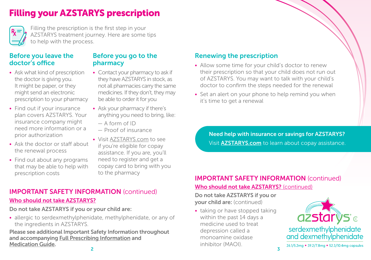# Filling your AZSTARYS prescription



Filling the prescription is the first step in your AZSTARYS treatment journey. Here are some tips to help with the process.

### Before you leave the doctor's office

- Ask what kind of prescription the doctor is giving you. It might be paper, or they might send an electronic prescription to your pharmacy
- Find out if your insurance plan covers AZSTARYS. Your insurance company might need more information or a prior authorization
- Ask the doctor or staff about the renewal process
- Find out about any programs that may be able to help with prescription costs

### Before you go to the pharmacy

- Contact your pharmacy to ask if they have AZSTARYS in stock, as not all pharmacies carry the same medicines. If they don't, they may be able to order it for you
- Ask your pharmacy if there's anything you need to bring, like:
	- $-$  A form of ID
	- Proof of insurance
- Visit [AZSTARYS.com](https://www.azstarys.com) to see if you're eligible for copay assistance. If you are, you'll need to register and get a copay card to bring with you to the pharmacy

### IMPORTANT SAFETY INFORMATION (continued)

### Who should not take AZSTARYS?

### Do not take AZSTARYS if you or your child are:

• allergic to serdexmethylphenidate, methylphenidate, or any of the ingredients in AZSTARYS.

Please see additional Important Safety Information throughout and accompanying [Full Prescribing Information](https://www.corium.com/products/AZSTARYS/AZSTARYS_PI_ENGLISH_US.pdf) and [Medication Guide.](https://www.corium.com/products/AZSTARYS/AZSTARYS_MEDGUIDE_ENGLISH_US.pdf)

### Renewing the prescription

- Allow some time for your child's doctor to renew their prescription so that your child does not run out of AZSTARYS. You may want to talk with your child's doctor to confirm the steps needed for the renewal
- Set an alert on your phone to help remind you when it's time to get a renewal

Need help with insurance or savings for AZSTARYS? Visit **[AZSTARYS.com](http://AZSTARYS.com)** to learn about copay assistance.

### Who should not take AZSTARYS? (continued) IMPORTANT SAFETY INFORMATION (continued)

Do not take AZSTARYS if you or your child are: (continued)

• taking or have stopped taking within the past 14 days a medicine used to treat depression called a monoamine oxidase inhibitor (MAOI).

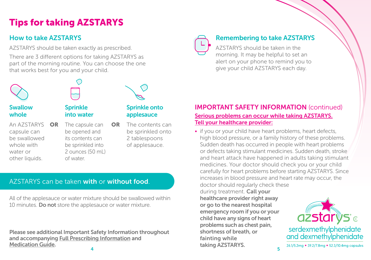# Tips for taking AZSTARYS

### How to take AZSTARYS

AZSTARYS should be taken exactly as prescribed.

There are 3 different options for taking AZSTARYS as part of the morning routine. You can choose the one that works best for you and your child.



### Swallow whole

An AZSTARYS OR capsule can be swallowed whole with water or other liquids.

### Sprinkle into water

The capsule can  $OR$ be opened and its contents can be sprinkled into 2 ounces (50 mL) of water.

# The contents can applesauce

Sprinkle onto

be sprinkled onto 2 tablespoons of applesauce.

### AZSTARYS can be taken with or without food.

All of the applesauce or water mixture should be swallowed within 10 minutes. Do not store the applesauce or water mixture.

Please see additional Important Safety Information throughout and accompanying [Full Prescribing Information](https://www.corium.com/products/AZSTARYS/AZSTARYS_PI_ENGLISH_US.pdf) and [Medication Guide.](https://www.corium.com/products/AZSTARYS/AZSTARYS_MEDGUIDE_ENGLISH_US.pdf)

### Remembering to take AZSTARYS

AZSTARYS should be taken in the morning. It may be helpful to set an alert on your phone to remind you to give your child AZSTARYS each day.

### Serious problems can occur while taking AZSTARYS. Tell your healthcare provider: IMPORTANT SAFETY INFORMATION (continued)

• if you or your child have heart problems, heart defects, high blood pressure, or a family history of these problems. Sudden death has occurred in people with heart problems or defects taking stimulant medicines. Sudden death, stroke and heart attack have happened in adults taking stimulant medicines. Your doctor should check you or your child carefully for heart problems before starting AZSTARYS. Since increases in blood pressure and heart rate may occur, the

5 doctor should regularly check these during treatment. Call your healthcare provider right away or go to the nearest hospital emergency room if you or your child have any signs of heart problems such as chest pain, shortness of breath, or fainting while taking AZSTARYS.

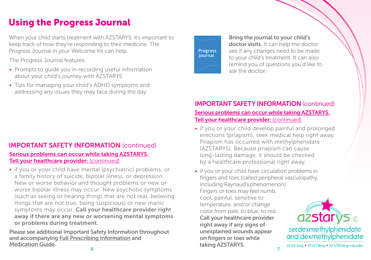# Using the Progress Journal

When your child starts treatment with AZSTARYS, it's important to keep track of how they're responding to their medicine. The Progress Journal in your Welcome Kit can help.

The Progress Journal features:

- Prompts to guide you in recording useful information about your child's journey with AZSTARYS
- Tips for managing your child's ADHD symptoms and addressing any issues they may face during the day

### Serious problems can occur while taking AZSTARYS. Tell your healthcare provider: (continued) IMPORTANT SAFETY INFORMATION (continued)

• if you or your child have mental (psychiatric) problems, or a family history of suicide, bipolar illness, or depression. New or worse behavior and thought problems or new or worse bipolar illness may occur. New psychotic symptoms (such as seeing or hearing things that are not real, believing things that are not true, being suspicious) or new manic symptoms may occur. Call your healthcare provider right away if there are any new or worsening mental symptoms or problems during treatment.

 Please see additional Important Safety Information throughout and accompanying [Full Prescribing Information](https://www.corium.com/products/AZSTARYS/AZSTARYS_PI_ENGLISH_US.pdf) and [Medication Guide.](https://www.corium.com/products/AZSTARYS/AZSTARYS_MEDGUIDE_ENGLISH_US.pdf)



Bring the journal to your child's doctor visits. It can help the doctor see if any changes need to be made to your child's treatment. It can also remind you of questions you'd like to ask the doctor.

### Serious problems can occur while taking AZSTARYS. Tell your healthcare provider: (continued) IMPORTANT SAFETY INFORMATION (continued)

• if you or your child develop painful and prolonged erections (priapism), seek medical help right away. Priapism has occurred with methylphenidate (AZSTARYS). Because priapism can cause long-lasting damage, it should be checked by a healthcare professional right away.

• if you or your child have circulation problems in fingers and toes (called peripheral vasculopathy, including Raynaud's phenomenon). Fingers or toes may feel numb, cool, painful, sensitive to temperature, and/or change color from pale, to blue, to red. Call your healthcare provider right away if any signs of unexplained wounds appear on fingers or toes while taking AZSTARYS.

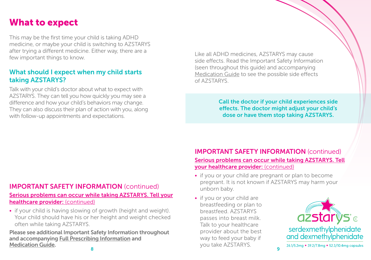## What to expect

This may be the first time your child is taking ADHD medicine, or maybe your child is switching to AZSTARYS after trying a different medicine. Either way, there are a few important things to know.

### What should I expect when my child starts taking AZSTARYS?

Talk with your child's doctor about what to expect with AZSTARYS. They can tell you how quickly you may see a difference and how your child's behaviors may change. They can also discuss their plan of action with you, along with follow-up appointments and expectations.

Like all ADHD medicines, AZSTARYS may cause side effects. Read the Important Safety Information (seen throughout this guide) and accompanying [Medication Guide](https://www.corium.com/products/AZSTARYS/AZSTARYS_MEDGUIDE_ENGLISH_US.pdf) to see the possible side effects of AZSTARYS.

> Call the doctor if your child experiences side effects. The doctor might adjust your child's dose or have them stop taking AZSTARYS.

### IMPORTANT SAFETY INFORMATION (continued)

#### Serious problems can occur while taking AZSTARYS. Tell your healthcare provider: (continued)

• if your child is having slowing of growth (height and weight). Your child should have his or her height and weight checked often while taking AZSTARYS.

8 Please see additional Important Safety Information throughout and accompanying [Full Prescribing Information](https://www.corium.com/products/AZSTARYS/AZSTARYS_PI_ENGLISH_US.pdf) and [Medication Guide.](https://www.corium.com/products/AZSTARYS/AZSTARYS_MEDGUIDE_ENGLISH_US.pdf)

### Serious problems can occur while taking AZSTARYS. Tell your healthcare provider: (continued) IMPORTANT SAFETY INFORMATION (continued)

- if you or your child are pregnant or plan to become pregnant. It is not known if AZSTARYS may harm your unborn baby.
- if you or your child are breastfeeding or plan to breastfeed. AZSTARYS passes into breast milk. Talk to your healthcare provider about the best way to feed your baby if you take AZSTARYS.

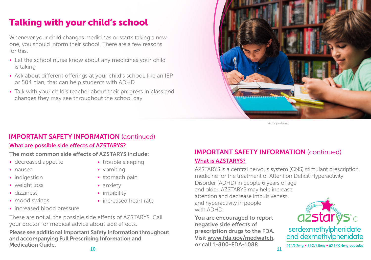# Talking with your child's school

Whenever your child changes medicines or starts taking a new one, you should inform their school. There are a few reasons for this.

- Let the school nurse know about any medicines your child is taking
- Ask about different offerings at your child's school, like an IEP or 504 plan, that can help students with ADHD
- Talk with your child's teacher about their progress in class and changes they may see throughout the school day



Actor portrayal

### IMPORTANT SAFETY INFORMATION (continued)

### What are possible side effects of AZSTARYS?

### The most common side effects of AZSTARYS include:

- decreased appetite
- nausea
- indigestion
- weight loss
- dizziness
- mood swings
- increased blood pressure
- trouble sleeping
- vomiting
- stomach pain
- anxiety
- irritability
- increased heart rate
- These are not all the possible side effects of AZSTARYS. Call your doctor for medical advice about side effects.

10 Please see additional Important Safety Information throughout and accompanying [Full Prescribing Information](https://www.corium.com/products/AZSTARYS/AZSTARYS_PI_ENGLISH_US.pdf) and [Medication Guide.](https://www.corium.com/products/AZSTARYS/AZSTARYS_MEDGUIDE_ENGLISH_US.pdf)

### What is AZSTARYS? IMPORTANT SAFETY INFORMATION (continued)

AZSTARYS is a central nervous system (CNS) stimulant prescription medicine for the treatment of Attention Deficit Hyperactivity Disorder (ADHD) in people 6 years of age and older. AZSTARYS may help increase attention and decrease impulsivene[ss](http://Azstarys.com)  and hyperactivity in people with ADHD.

You are encouraged to report negative side effects of prescription drugs to the FDA. Visit [www.fda.gov/medwatch](https://www.fda.gov/safety/medwatch-fda-safety-information-and-adverse-event-reporting-program), or call 1-800-FDA-1088.